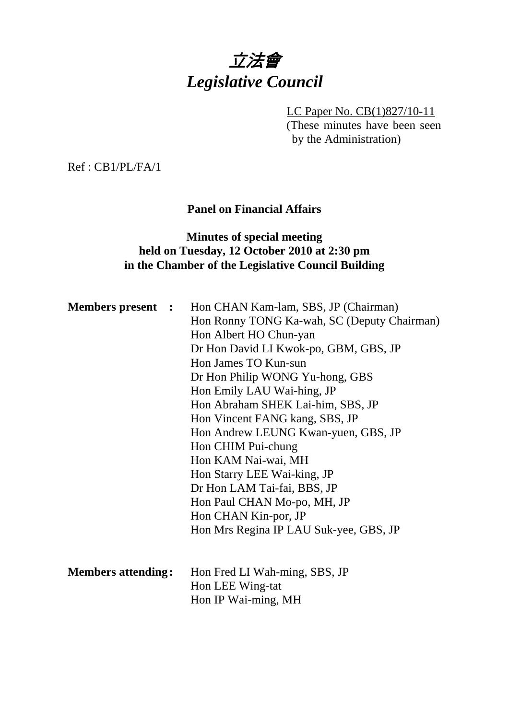# 立法會 *Legislative Council*

LC Paper No. CB(1)827/10-11 (These minutes have been seen by the Administration)

Ref : CB1/PL/FA/1

## **Panel on Financial Affairs**

## **Minutes of special meeting held on Tuesday, 12 October 2010 at 2:30 pm in the Chamber of the Legislative Council Building**

| <b>Members present :</b>  |  | Hon CHAN Kam-lam, SBS, JP (Chairman)        |  |  |
|---------------------------|--|---------------------------------------------|--|--|
|                           |  | Hon Ronny TONG Ka-wah, SC (Deputy Chairman) |  |  |
|                           |  | Hon Albert HO Chun-yan                      |  |  |
|                           |  | Dr Hon David LI Kwok-po, GBM, GBS, JP       |  |  |
|                           |  | Hon James TO Kun-sun                        |  |  |
|                           |  | Dr Hon Philip WONG Yu-hong, GBS             |  |  |
|                           |  | Hon Emily LAU Wai-hing, JP                  |  |  |
|                           |  | Hon Abraham SHEK Lai-him, SBS, JP           |  |  |
|                           |  | Hon Vincent FANG kang, SBS, JP              |  |  |
|                           |  | Hon Andrew LEUNG Kwan-yuen, GBS, JP         |  |  |
|                           |  | Hon CHIM Pui-chung                          |  |  |
|                           |  | Hon KAM Nai-wai, MH                         |  |  |
|                           |  | Hon Starry LEE Wai-king, JP                 |  |  |
|                           |  | Dr Hon LAM Tai-fai, BBS, JP                 |  |  |
|                           |  | Hon Paul CHAN Mo-po, MH, JP                 |  |  |
|                           |  | Hon CHAN Kin-por, JP                        |  |  |
|                           |  | Hon Mrs Regina IP LAU Suk-yee, GBS, JP      |  |  |
|                           |  |                                             |  |  |
| <b>Members attending:</b> |  | Hon Fred LI Wah-ming, SBS, JP               |  |  |
|                           |  | Hon LEE Wing-tat                            |  |  |
|                           |  | Hon IP Wai-ming, MH                         |  |  |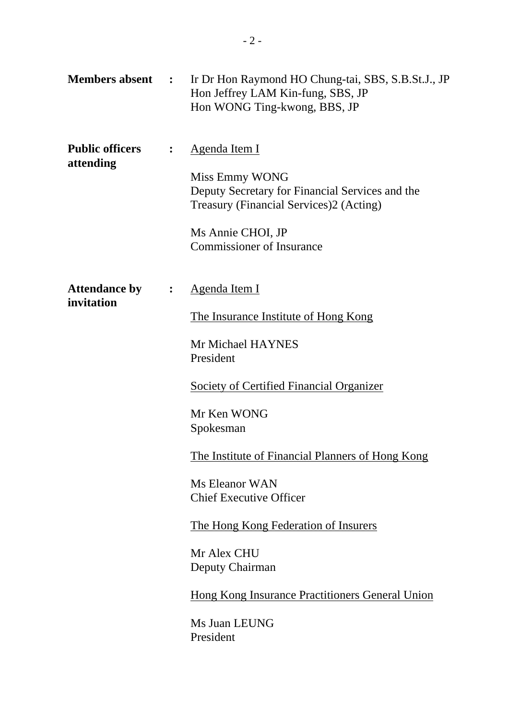| <b>Members absent :</b>             |                | Ir Dr Hon Raymond HO Chung-tai, SBS, S.B.St.J., JP<br>Hon Jeffrey LAM Kin-fung, SBS, JP<br>Hon WONG Ting-kwong, BBS, JP                                                                                                                                                                                                                                                                                                                                        |
|-------------------------------------|----------------|----------------------------------------------------------------------------------------------------------------------------------------------------------------------------------------------------------------------------------------------------------------------------------------------------------------------------------------------------------------------------------------------------------------------------------------------------------------|
| <b>Public officers</b><br>attending | $\ddot{\cdot}$ | <u>Agenda Item I</u><br>Miss Emmy WONG<br>Deputy Secretary for Financial Services and the<br>Treasury (Financial Services)2 (Acting)<br>Ms Annie CHOI, JP<br><b>Commissioner of Insurance</b>                                                                                                                                                                                                                                                                  |
| <b>Attendance by</b><br>invitation  | $\ddot{\cdot}$ | <u>Agenda Item I</u><br>The Insurance Institute of Hong Kong<br>Mr Michael HAYNES<br>President<br><b>Society of Certified Financial Organizer</b><br>Mr Ken WONG<br>Spokesman<br>The Institute of Financial Planners of Hong Kong<br>Ms Eleanor WAN<br><b>Chief Executive Officer</b><br><u>The Hong Kong Federation of Insurers</u><br>Mr Alex CHU<br>Deputy Chairman<br><b>Hong Kong Insurance Practitioners General Union</b><br>Ms Juan LEUNG<br>President |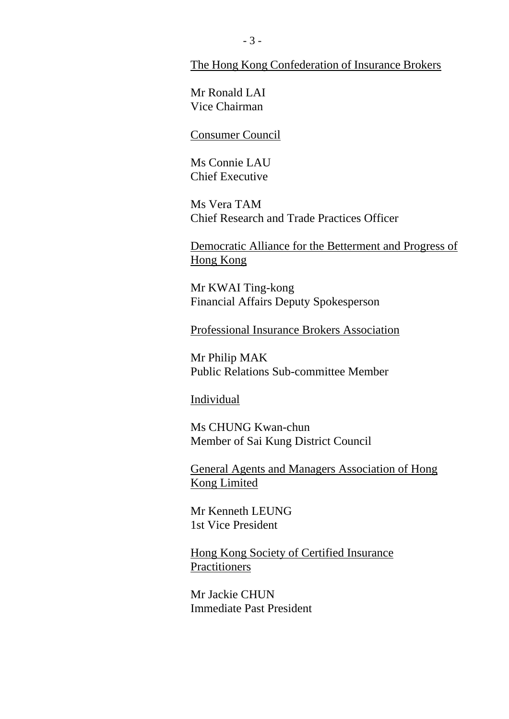#### The Hong Kong Confederation of Insurance Brokers

Mr Ronald LAI Vice Chairman

#### Consumer Council

Ms Connie LAU Chief Executive

Ms Vera TAM Chief Research and Trade Practices Officer

Democratic Alliance for the Betterment and Progress of Hong Kong

Mr KWAI Ting-kong Financial Affairs Deputy Spokesperson

Professional Insurance Brokers Association

Mr Philip MAK Public Relations Sub-committee Member

#### Individual

Ms CHUNG Kwan-chun Member of Sai Kung District Council

General Agents and Managers Association of Hong Kong Limited

Mr Kenneth LEUNG 1st Vice President

Hong Kong Society of Certified Insurance **Practitioners** 

Mr Jackie CHUN Immediate Past President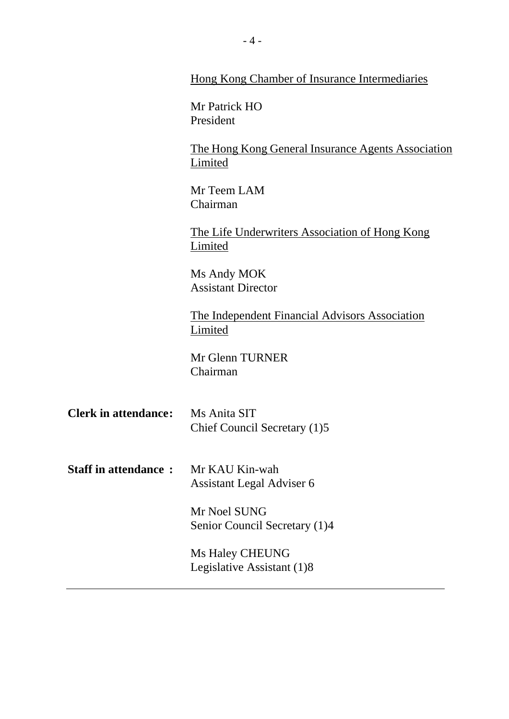|                                          | <b>Hong Kong Chamber of Insurance Intermediaries</b>                                 |  |
|------------------------------------------|--------------------------------------------------------------------------------------|--|
|                                          | Mr Patrick HO<br>President                                                           |  |
|                                          | The Hong Kong General Insurance Agents Association<br>Limited                        |  |
|                                          | Mr Teem LAM<br>Chairman<br>The Life Underwriters Association of Hong Kong<br>Limited |  |
|                                          |                                                                                      |  |
|                                          | Ms Andy MOK<br><b>Assistant Director</b>                                             |  |
|                                          | <u>The Independent Financial Advisors Association</u><br>Limited                     |  |
|                                          | Mr Glenn TURNER<br>Chairman                                                          |  |
| <b>Clerk in attendance:</b> Ms Anita SIT | Chief Council Secretary (1)5                                                         |  |
| <b>Staff in attendance:</b>              | Mr KAU Kin-wah<br>Assistant Legal Adviser 6                                          |  |
|                                          | Mr Noel SUNG<br>Senior Council Secretary (1)4                                        |  |
|                                          | Ms Haley CHEUNG<br>Legislative Assistant (1)8                                        |  |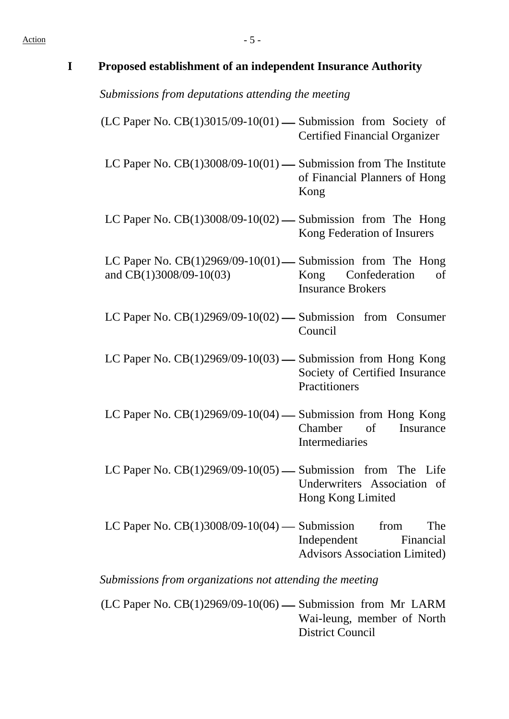| $\mathbf I$ | Proposed establishment of an independent Insurance Authority                             |                                                                         |
|-------------|------------------------------------------------------------------------------------------|-------------------------------------------------------------------------|
|             | Submissions from deputations attending the meeting                                       |                                                                         |
|             | $(LC$ Paper No. $CB(1)3015/09-10(01)$ — Submission from Society of                       | <b>Certified Financial Organizer</b>                                    |
|             | LC Paper No. $CB(1)3008/09-10(01)$ — Submission from The Institute                       | of Financial Planners of Hong<br>Kong                                   |
|             | LC Paper No. $CB(1)3008/09-10(02)$ — Submission from The Hong                            | Kong Federation of Insurers                                             |
|             | LC Paper No. $CB(1)2969/09-10(01)$ — Submission from The Hong<br>and CB(1)3008/09-10(03) | Confederation<br>Kong<br>of<br><b>Insurance Brokers</b>                 |
|             | LC Paper No. $CB(1)2969/09-10(02)$ — Submission from Consumer                            | Council                                                                 |
|             | LC Paper No. $CB(1)2969/09-10(03)$ — Submission from Hong Kong                           | Society of Certified Insurance<br>Practitioners                         |
|             | LC Paper No. $CB(1)2969/09-10(04)$ - Submission from Hong Kong                           | $\sigma$<br>Chamber<br>Insurance<br>Intermediaries                      |
|             | LC Paper No. $CB(1)2969/09-10(05)$ — Submission from The Life                            | Underwriters Association of<br>Hong Kong Limited                        |
|             | LC Paper No. $CB(1)3008/09-10(04)$ — Submission from                                     | The<br>Independent<br>Financial<br><b>Advisors Association Limited)</b> |

*Submissions from organizations not attending the meeting*

(LC Paper No.  $CB(1)2969/09-10(06)$  - Submission from Mr LARM Wai-leung, member of North District Council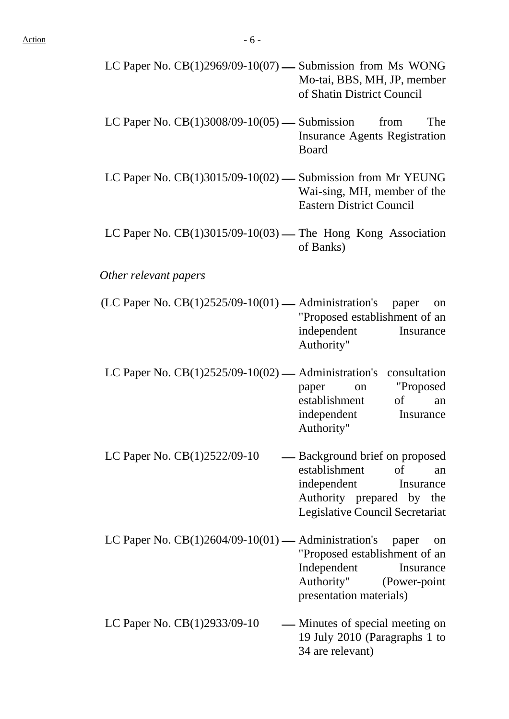| LC Paper No. $CB(1)2969/09-10(07)$ — Submission from Ms WONG |                             |
|--------------------------------------------------------------|-----------------------------|
|                                                              | Mo-tai, BBS, MH, JP, member |
|                                                              | of Shatin District Council  |

- LC Paper No.  $CB(1)3008/09-10(05)$  Submission from The Insurance Agents Registration Board
- LC Paper No.  $CB(1)3015/09-10(02)$  Submission from Mr YEUNG Wai-sing, MH, member of the Eastern District Council
- LC Paper No.  $CB(1)3015/09-10(03)$  The Hong Kong Association of Banks)

#### *Other relevant papers*

- $(LC$  Paper No.  $CB(1)2525/09-10(01)$  Administration's paper on "Proposed establishment of an independent Insurance Authority"
- LC Paper No.  $CB(1)2525/09-10(02)$  Administration's consultation paper on "Proposed establishment of an independent Insurance Authority"
- LC Paper No.  $CB(1)2522/09-10$   $—$  Background brief on proposed establishment of an independent Insurance Authority prepared by the Legislative Council Secretariat
- LC Paper No.  $CB(1)2604/09-10(01)$  Administration's paper on "Proposed establishment of an Independent Insurance Authority" (Power-point presentation materials)
- LC Paper No.  $CB(1)2933/09-10$  Minutes of special meeting on 19 July 2010 (Paragraphs 1 to 34 are relevant)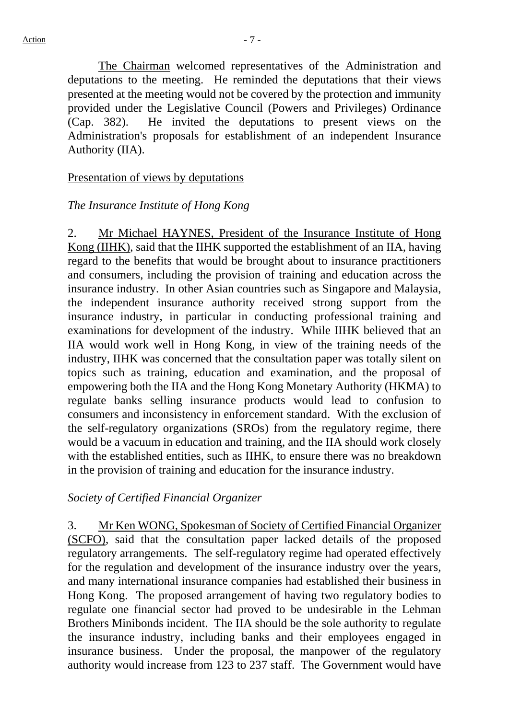The Chairman welcomed representatives of the Administration and deputations to the meeting. He reminded the deputations that their views presented at the meeting would not be covered by the protection and immunity provided under the Legislative Council (Powers and Privileges) Ordinance (Cap. 382). He invited the deputations to present views on the Administration's proposals for establishment of an independent Insurance Authority (IIA).

#### Presentation of views by deputations

#### *The Insurance Institute of Hong Kong*

2. Mr Michael HAYNES, President of the Insurance Institute of Hong Kong (IIHK), said that the IIHK supported the establishment of an IIA, having regard to the benefits that would be brought about to insurance practitioners and consumers, including the provision of training and education across the insurance industry. In other Asian countries such as Singapore and Malaysia, the independent insurance authority received strong support from the insurance industry, in particular in conducting professional training and examinations for development of the industry. While IIHK believed that an IIA would work well in Hong Kong, in view of the training needs of the industry, IIHK was concerned that the consultation paper was totally silent on topics such as training, education and examination, and the proposal of empowering both the IIA and the Hong Kong Monetary Authority (HKMA) to regulate banks selling insurance products would lead to confusion to consumers and inconsistency in enforcement standard. With the exclusion of the self-regulatory organizations (SROs) from the regulatory regime, there would be a vacuum in education and training, and the IIA should work closely with the established entities, such as IIHK, to ensure there was no breakdown in the provision of training and education for the insurance industry.

#### *Society of Certified Financial Organizer*

3. Mr Ken WONG, Spokesman of Society of Certified Financial Organizer (SCFO), said that the consultation paper lacked details of the proposed regulatory arrangements. The self-regulatory regime had operated effectively for the regulation and development of the insurance industry over the years, and many international insurance companies had established their business in Hong Kong. The proposed arrangement of having two regulatory bodies to regulate one financial sector had proved to be undesirable in the Lehman Brothers Minibonds incident. The IIA should be the sole authority to regulate the insurance industry, including banks and their employees engaged in insurance business. Under the proposal, the manpower of the regulatory authority would increase from 123 to 237 staff. The Government would have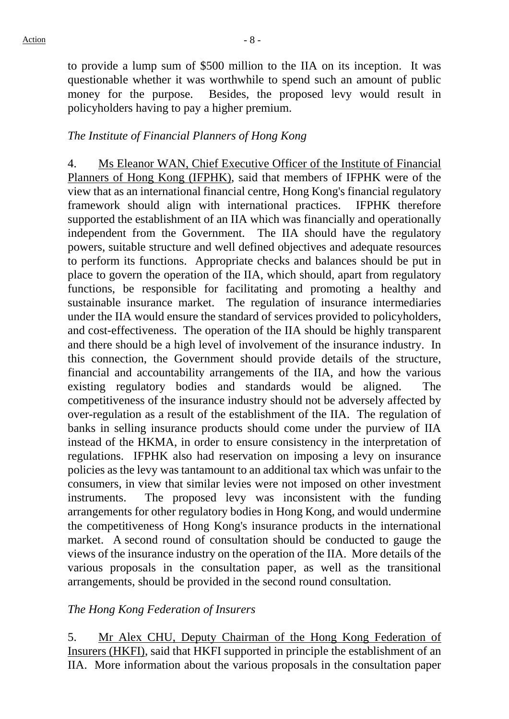to provide a lump sum of \$500 million to the IIA on its inception. It was questionable whether it was worthwhile to spend such an amount of public money for the purpose. Besides, the proposed levy would result in policyholders having to pay a higher premium.

#### *The Institute of Financial Planners of Hong Kong*

4. Ms Eleanor WAN, Chief Executive Officer of the Institute of Financial Planners of Hong Kong (IFPHK), said that members of IFPHK were of the view that as an international financial centre, Hong Kong's financial regulatory framework should align with international practices. IFPHK therefore supported the establishment of an IIA which was financially and operationally independent from the Government. The IIA should have the regulatory powers, suitable structure and well defined objectives and adequate resources to perform its functions. Appropriate checks and balances should be put in place to govern the operation of the IIA, which should, apart from regulatory functions, be responsible for facilitating and promoting a healthy and sustainable insurance market. The regulation of insurance intermediaries under the IIA would ensure the standard of services provided to policyholders, and cost-effectiveness. The operation of the IIA should be highly transparent and there should be a high level of involvement of the insurance industry. In this connection, the Government should provide details of the structure, financial and accountability arrangements of the IIA, and how the various existing regulatory bodies and standards would be aligned. The competitiveness of the insurance industry should not be adversely affected by over-regulation as a result of the establishment of the IIA. The regulation of banks in selling insurance products should come under the purview of IIA instead of the HKMA, in order to ensure consistency in the interpretation of regulations. IFPHK also had reservation on imposing a levy on insurance policies as the levy was tantamount to an additional tax which was unfair to the consumers, in view that similar levies were not imposed on other investment instruments. The proposed levy was inconsistent with the funding arrangements for other regulatory bodies in Hong Kong, and would undermine the competitiveness of Hong Kong's insurance products in the international market. A second round of consultation should be conducted to gauge the views of the insurance industry on the operation of the IIA. More details of the various proposals in the consultation paper, as well as the transitional arrangements, should be provided in the second round consultation.

#### *The Hong Kong Federation of Insurers*

5. Mr Alex CHU, Deputy Chairman of the Hong Kong Federation of Insurers (HKFI), said that HKFI supported in principle the establishment of an IIA. More information about the various proposals in the consultation paper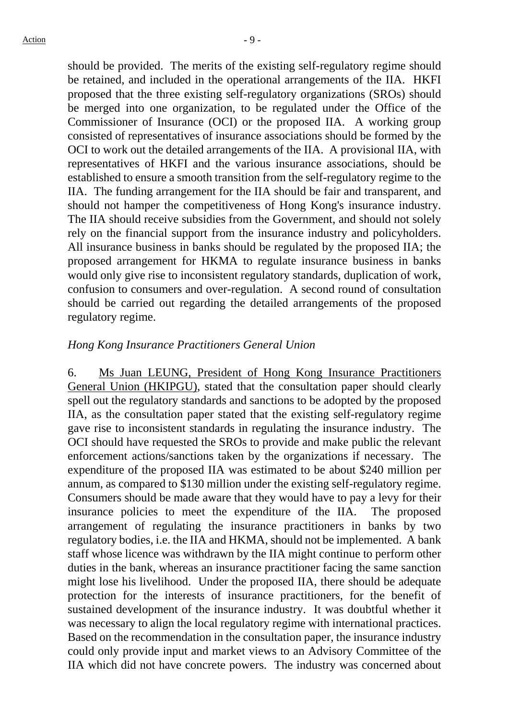should be provided. The merits of the existing self-regulatory regime should be retained, and included in the operational arrangements of the IIA. HKFI proposed that the three existing self-regulatory organizations (SROs) should be merged into one organization, to be regulated under the Office of the Commissioner of Insurance (OCI) or the proposed IIA. A working group consisted of representatives of insurance associations should be formed by the OCI to work out the detailed arrangements of the IIA. A provisional IIA, with representatives of HKFI and the various insurance associations, should be established to ensure a smooth transition from the self-regulatory regime to the IIA. The funding arrangement for the IIA should be fair and transparent, and should not hamper the competitiveness of Hong Kong's insurance industry. The IIA should receive subsidies from the Government, and should not solely rely on the financial support from the insurance industry and policyholders. All insurance business in banks should be regulated by the proposed IIA; the proposed arrangement for HKMA to regulate insurance business in banks would only give rise to inconsistent regulatory standards, duplication of work, confusion to consumers and over-regulation. A second round of consultation should be carried out regarding the detailed arrangements of the proposed regulatory regime.

#### *Hong Kong Insurance Practitioners General Union*

6. Ms Juan LEUNG, President of Hong Kong Insurance Practitioners General Union (HKIPGU), stated that the consultation paper should clearly spell out the regulatory standards and sanctions to be adopted by the proposed IIA, as the consultation paper stated that the existing self-regulatory regime gave rise to inconsistent standards in regulating the insurance industry. The OCI should have requested the SROs to provide and make public the relevant enforcement actions/sanctions taken by the organizations if necessary. The expenditure of the proposed IIA was estimated to be about \$240 million per annum, as compared to \$130 million under the existing self-regulatory regime. Consumers should be made aware that they would have to pay a levy for their insurance policies to meet the expenditure of the IIA. The proposed arrangement of regulating the insurance practitioners in banks by two regulatory bodies, i.e. the IIA and HKMA, should not be implemented. A bank staff whose licence was withdrawn by the IIA might continue to perform other duties in the bank, whereas an insurance practitioner facing the same sanction might lose his livelihood. Under the proposed IIA, there should be adequate protection for the interests of insurance practitioners, for the benefit of sustained development of the insurance industry. It was doubtful whether it was necessary to align the local regulatory regime with international practices. Based on the recommendation in the consultation paper, the insurance industry could only provide input and market views to an Advisory Committee of the IIA which did not have concrete powers. The industry was concerned about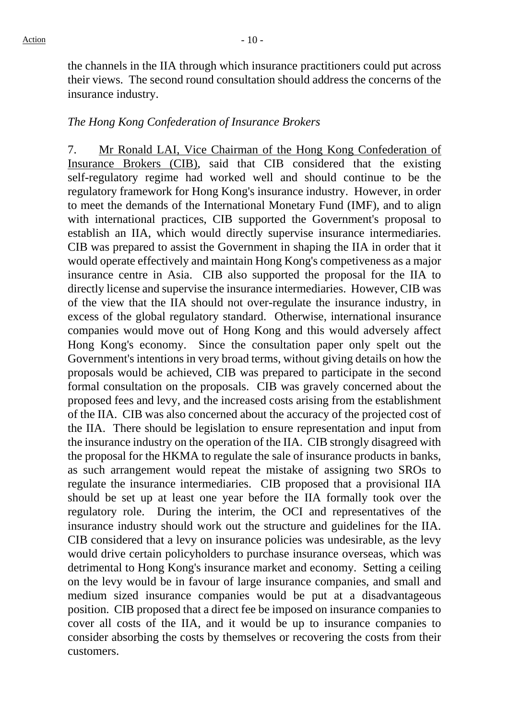the channels in the IIA through which insurance practitioners could put across their views. The second round consultation should address the concerns of the insurance industry.

#### *The Hong Kong Confederation of Insurance Brokers*

7. Mr Ronald LAI, Vice Chairman of the Hong Kong Confederation of Insurance Brokers (CIB), said that CIB considered that the existing self-regulatory regime had worked well and should continue to be the regulatory framework for Hong Kong's insurance industry. However, in order to meet the demands of the International Monetary Fund (IMF), and to align with international practices, CIB supported the Government's proposal to establish an IIA, which would directly supervise insurance intermediaries. CIB was prepared to assist the Government in shaping the IIA in order that it would operate effectively and maintain Hong Kong's competiveness as a major insurance centre in Asia. CIB also supported the proposal for the IIA to directly license and supervise the insurance intermediaries. However, CIB was of the view that the IIA should not over-regulate the insurance industry, in excess of the global regulatory standard. Otherwise, international insurance companies would move out of Hong Kong and this would adversely affect Hong Kong's economy. Since the consultation paper only spelt out the Government's intentions in very broad terms, without giving details on how the proposals would be achieved, CIB was prepared to participate in the second formal consultation on the proposals. CIB was gravely concerned about the proposed fees and levy, and the increased costs arising from the establishment of the IIA. CIB was also concerned about the accuracy of the projected cost of the IIA. There should be legislation to ensure representation and input from the insurance industry on the operation of the IIA. CIB strongly disagreed with the proposal for the HKMA to regulate the sale of insurance products in banks, as such arrangement would repeat the mistake of assigning two SROs to regulate the insurance intermediaries. CIB proposed that a provisional IIA should be set up at least one year before the IIA formally took over the regulatory role. During the interim, the OCI and representatives of the insurance industry should work out the structure and guidelines for the IIA. CIB considered that a levy on insurance policies was undesirable, as the levy would drive certain policyholders to purchase insurance overseas, which was detrimental to Hong Kong's insurance market and economy. Setting a ceiling on the levy would be in favour of large insurance companies, and small and medium sized insurance companies would be put at a disadvantageous position. CIB proposed that a direct fee be imposed on insurance companies to cover all costs of the IIA, and it would be up to insurance companies to consider absorbing the costs by themselves or recovering the costs from their customers.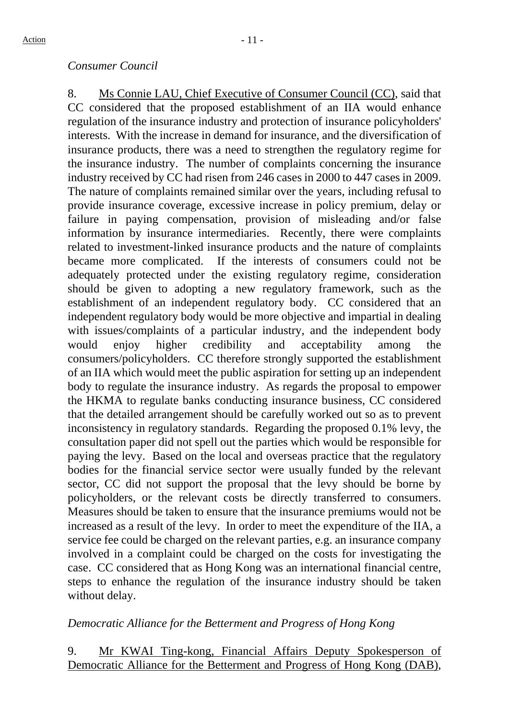#### *Consumer Council*

8. Ms Connie LAU, Chief Executive of Consumer Council (CC), said that CC considered that the proposed establishment of an IIA would enhance regulation of the insurance industry and protection of insurance policyholders' interests. With the increase in demand for insurance, and the diversification of insurance products, there was a need to strengthen the regulatory regime for the insurance industry. The number of complaints concerning the insurance industry received by CC had risen from 246 cases in 2000 to 447 cases in 2009. The nature of complaints remained similar over the years, including refusal to provide insurance coverage, excessive increase in policy premium, delay or failure in paying compensation, provision of misleading and/or false information by insurance intermediaries. Recently, there were complaints related to investment-linked insurance products and the nature of complaints became more complicated. If the interests of consumers could not be adequately protected under the existing regulatory regime, consideration should be given to adopting a new regulatory framework, such as the establishment of an independent regulatory body. CC considered that an independent regulatory body would be more objective and impartial in dealing with issues/complaints of a particular industry, and the independent body would enjoy higher credibility and acceptability among the consumers/policyholders. CC therefore strongly supported the establishment of an IIA which would meet the public aspiration for setting up an independent body to regulate the insurance industry. As regards the proposal to empower the HKMA to regulate banks conducting insurance business, CC considered that the detailed arrangement should be carefully worked out so as to prevent inconsistency in regulatory standards. Regarding the proposed 0.1% levy, the consultation paper did not spell out the parties which would be responsible for paying the levy. Based on the local and overseas practice that the regulatory bodies for the financial service sector were usually funded by the relevant sector, CC did not support the proposal that the levy should be borne by policyholders, or the relevant costs be directly transferred to consumers. Measures should be taken to ensure that the insurance premiums would not be increased as a result of the levy. In order to meet the expenditure of the IIA, a service fee could be charged on the relevant parties, e.g. an insurance company involved in a complaint could be charged on the costs for investigating the case. CC considered that as Hong Kong was an international financial centre, steps to enhance the regulation of the insurance industry should be taken without delay.

## *Democratic Alliance for the Betterment and Progress of Hong Kong*

9. Mr KWAI Ting-kong, Financial Affairs Deputy Spokesperson of Democratic Alliance for the Betterment and Progress of Hong Kong (DAB),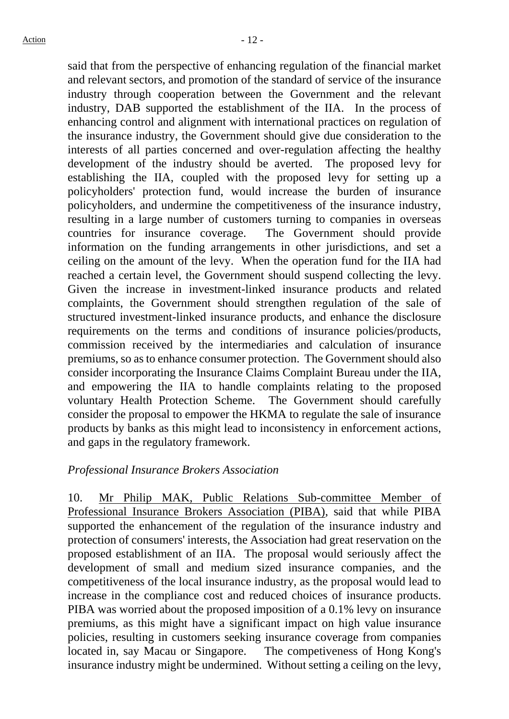said that from the perspective of enhancing regulation of the financial market and relevant sectors, and promotion of the standard of service of the insurance industry through cooperation between the Government and the relevant industry, DAB supported the establishment of the IIA. In the process of enhancing control and alignment with international practices on regulation of the insurance industry, the Government should give due consideration to the interests of all parties concerned and over-regulation affecting the healthy development of the industry should be averted. The proposed levy for establishing the IIA, coupled with the proposed levy for setting up a policyholders' protection fund, would increase the burden of insurance policyholders, and undermine the competitiveness of the insurance industry, resulting in a large number of customers turning to companies in overseas countries for insurance coverage. The Government should provide information on the funding arrangements in other jurisdictions, and set a ceiling on the amount of the levy. When the operation fund for the IIA had reached a certain level, the Government should suspend collecting the levy. Given the increase in investment-linked insurance products and related complaints, the Government should strengthen regulation of the sale of structured investment-linked insurance products, and enhance the disclosure requirements on the terms and conditions of insurance policies/products, commission received by the intermediaries and calculation of insurance premiums, so as to enhance consumer protection. The Government should also consider incorporating the Insurance Claims Complaint Bureau under the IIA, and empowering the IIA to handle complaints relating to the proposed voluntary Health Protection Scheme. The Government should carefully consider the proposal to empower the HKMA to regulate the sale of insurance products by banks as this might lead to inconsistency in enforcement actions, and gaps in the regulatory framework.

#### *Professional Insurance Brokers Association*

10. Mr Philip MAK, Public Relations Sub-committee Member of Professional Insurance Brokers Association (PIBA), said that while PIBA supported the enhancement of the regulation of the insurance industry and protection of consumers' interests, the Association had great reservation on the proposed establishment of an IIA. The proposal would seriously affect the development of small and medium sized insurance companies, and the competitiveness of the local insurance industry, as the proposal would lead to increase in the compliance cost and reduced choices of insurance products. PIBA was worried about the proposed imposition of a 0.1% levy on insurance premiums, as this might have a significant impact on high value insurance policies, resulting in customers seeking insurance coverage from companies located in, say Macau or Singapore. The competiveness of Hong Kong's insurance industry might be undermined. Without setting a ceiling on the levy,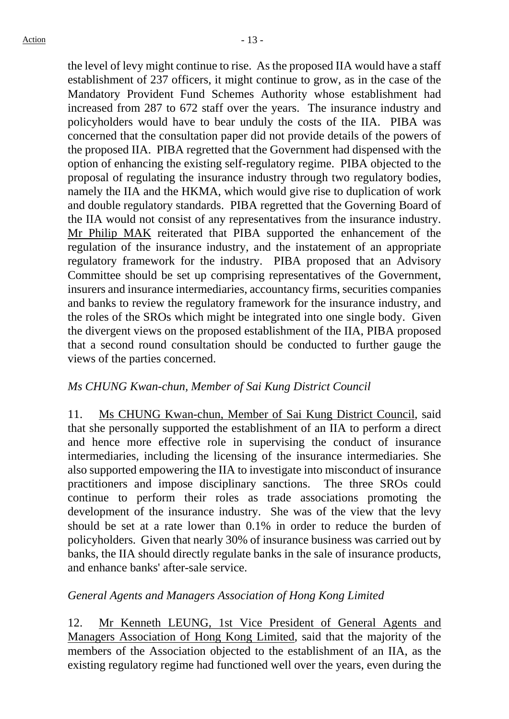the level of levy might continue to rise. As the proposed IIA would have a staff establishment of 237 officers, it might continue to grow, as in the case of the Mandatory Provident Fund Schemes Authority whose establishment had increased from 287 to 672 staff over the years. The insurance industry and policyholders would have to bear unduly the costs of the IIA. PIBA was concerned that the consultation paper did not provide details of the powers of the proposed IIA. PIBA regretted that the Government had dispensed with the option of enhancing the existing self-regulatory regime. PIBA objected to the proposal of regulating the insurance industry through two regulatory bodies, namely the IIA and the HKMA, which would give rise to duplication of work and double regulatory standards. PIBA regretted that the Governing Board of the IIA would not consist of any representatives from the insurance industry. Mr Philip MAK reiterated that PIBA supported the enhancement of the regulation of the insurance industry, and the instatement of an appropriate regulatory framework for the industry. PIBA proposed that an Advisory Committee should be set up comprising representatives of the Government, insurers and insurance intermediaries, accountancy firms, securities companies and banks to review the regulatory framework for the insurance industry, and the roles of the SROs which might be integrated into one single body. Given the divergent views on the proposed establishment of the IIA, PIBA proposed that a second round consultation should be conducted to further gauge the views of the parties concerned.

## *Ms CHUNG Kwan-chun, Member of Sai Kung District Council*

11. Ms CHUNG Kwan-chun, Member of Sai Kung District Council, said that she personally supported the establishment of an IIA to perform a direct and hence more effective role in supervising the conduct of insurance intermediaries, including the licensing of the insurance intermediaries. She also supported empowering the IIA to investigate into misconduct of insurance practitioners and impose disciplinary sanctions. The three SROs could continue to perform their roles as trade associations promoting the development of the insurance industry. She was of the view that the levy should be set at a rate lower than 0.1% in order to reduce the burden of policyholders. Given that nearly 30% of insurance business was carried out by banks, the IIA should directly regulate banks in the sale of insurance products, and enhance banks' after-sale service.

## *General Agents and Managers Association of Hong Kong Limited*

12. Mr Kenneth LEUNG, 1st Vice President of General Agents and Managers Association of Hong Kong Limited, said that the majority of the members of the Association objected to the establishment of an IIA, as the existing regulatory regime had functioned well over the years, even during the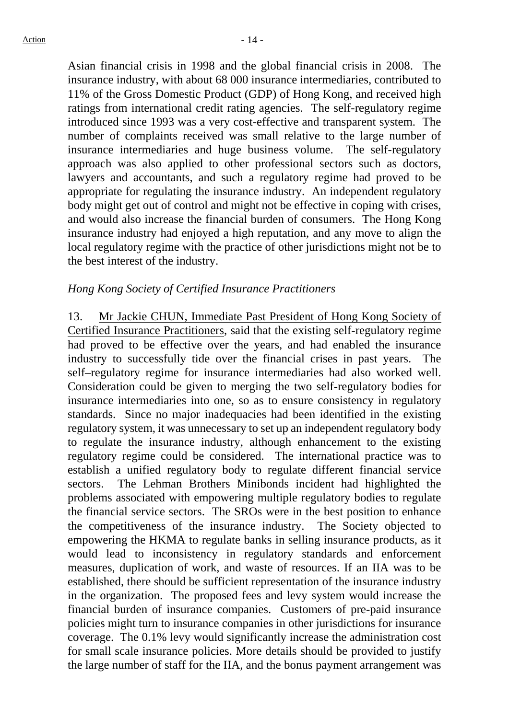Asian financial crisis in 1998 and the global financial crisis in 2008. The insurance industry, with about 68 000 insurance intermediaries, contributed to 11% of the Gross Domestic Product (GDP) of Hong Kong, and received high ratings from international credit rating agencies. The self-regulatory regime introduced since 1993 was a very cost-effective and transparent system. The number of complaints received was small relative to the large number of insurance intermediaries and huge business volume. The self-regulatory approach was also applied to other professional sectors such as doctors, lawyers and accountants, and such a regulatory regime had proved to be appropriate for regulating the insurance industry. An independent regulatory body might get out of control and might not be effective in coping with crises, and would also increase the financial burden of consumers. The Hong Kong insurance industry had enjoyed a high reputation, and any move to align the local regulatory regime with the practice of other jurisdictions might not be to the best interest of the industry.

### *Hong Kong Society of Certified Insurance Practitioners*

13. Mr Jackie CHUN, Immediate Past President of Hong Kong Society of Certified Insurance Practitioners, said that the existing self-regulatory regime had proved to be effective over the years, and had enabled the insurance industry to successfully tide over the financial crises in past years. The self–regulatory regime for insurance intermediaries had also worked well. Consideration could be given to merging the two self-regulatory bodies for insurance intermediaries into one, so as to ensure consistency in regulatory standards. Since no major inadequacies had been identified in the existing regulatory system, it was unnecessary to set up an independent regulatory body to regulate the insurance industry, although enhancement to the existing regulatory regime could be considered. The international practice was to establish a unified regulatory body to regulate different financial service sectors. The Lehman Brothers Minibonds incident had highlighted the problems associated with empowering multiple regulatory bodies to regulate the financial service sectors. The SROs were in the best position to enhance the competitiveness of the insurance industry. The Society objected to empowering the HKMA to regulate banks in selling insurance products, as it would lead to inconsistency in regulatory standards and enforcement measures, duplication of work, and waste of resources. If an IIA was to be established, there should be sufficient representation of the insurance industry in the organization. The proposed fees and levy system would increase the financial burden of insurance companies. Customers of pre-paid insurance policies might turn to insurance companies in other jurisdictions for insurance coverage. The 0.1% levy would significantly increase the administration cost for small scale insurance policies. More details should be provided to justify the large number of staff for the IIA, and the bonus payment arrangement was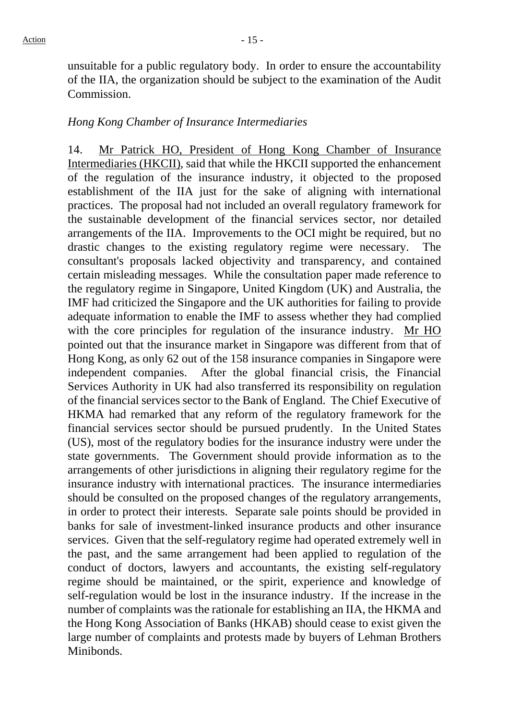unsuitable for a public regulatory body. In order to ensure the accountability of the IIA, the organization should be subject to the examination of the Audit Commission.

#### *Hong Kong Chamber of Insurance Intermediaries*

14. Mr Patrick HO, President of Hong Kong Chamber of Insurance Intermediaries (HKCII), said that while the HKCII supported the enhancement of the regulation of the insurance industry, it objected to the proposed establishment of the IIA just for the sake of aligning with international practices. The proposal had not included an overall regulatory framework for the sustainable development of the financial services sector, nor detailed arrangements of the IIA. Improvements to the OCI might be required, but no drastic changes to the existing regulatory regime were necessary. The consultant's proposals lacked objectivity and transparency, and contained certain misleading messages. While the consultation paper made reference to the regulatory regime in Singapore, United Kingdom (UK) and Australia, the IMF had criticized the Singapore and the UK authorities for failing to provide adequate information to enable the IMF to assess whether they had complied with the core principles for regulation of the insurance industry. Mr HO pointed out that the insurance market in Singapore was different from that of Hong Kong, as only 62 out of the 158 insurance companies in Singapore were independent companies. After the global financial crisis, the Financial Services Authority in UK had also transferred its responsibility on regulation of the financial services sector to the Bank of England. The Chief Executive of HKMA had remarked that any reform of the regulatory framework for the financial services sector should be pursued prudently. In the United States (US), most of the regulatory bodies for the insurance industry were under the state governments. The Government should provide information as to the arrangements of other jurisdictions in aligning their regulatory regime for the insurance industry with international practices. The insurance intermediaries should be consulted on the proposed changes of the regulatory arrangements, in order to protect their interests. Separate sale points should be provided in banks for sale of investment-linked insurance products and other insurance services. Given that the self-regulatory regime had operated extremely well in the past, and the same arrangement had been applied to regulation of the conduct of doctors, lawyers and accountants, the existing self-regulatory regime should be maintained, or the spirit, experience and knowledge of self-regulation would be lost in the insurance industry. If the increase in the number of complaints was the rationale for establishing an IIA, the HKMA and the Hong Kong Association of Banks (HKAB) should cease to exist given the large number of complaints and protests made by buyers of Lehman Brothers Minibonds.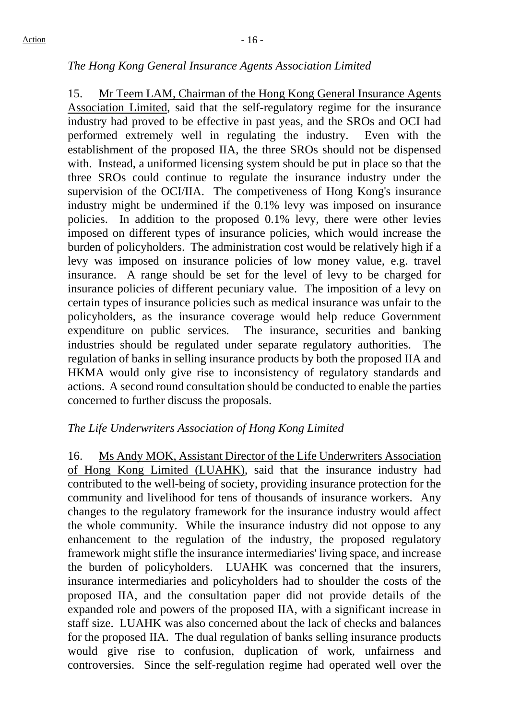## *The Hong Kong General Insurance Agents Association Limited*

15. Mr Teem LAM, Chairman of the Hong Kong General Insurance Agents Association Limited, said that the self-regulatory regime for the insurance industry had proved to be effective in past yeas, and the SROs and OCI had performed extremely well in regulating the industry. Even with the establishment of the proposed IIA, the three SROs should not be dispensed with. Instead, a uniformed licensing system should be put in place so that the three SROs could continue to regulate the insurance industry under the supervision of the OCI/IIA. The competiveness of Hong Kong's insurance industry might be undermined if the 0.1% levy was imposed on insurance policies. In addition to the proposed 0.1% levy, there were other levies imposed on different types of insurance policies, which would increase the burden of policyholders. The administration cost would be relatively high if a levy was imposed on insurance policies of low money value, e.g. travel insurance. A range should be set for the level of levy to be charged for insurance policies of different pecuniary value. The imposition of a levy on certain types of insurance policies such as medical insurance was unfair to the policyholders, as the insurance coverage would help reduce Government expenditure on public services. The insurance, securities and banking industries should be regulated under separate regulatory authorities. The regulation of banks in selling insurance products by both the proposed IIA and HKMA would only give rise to inconsistency of regulatory standards and actions. A second round consultation should be conducted to enable the parties concerned to further discuss the proposals.

## *The Life Underwriters Association of Hong Kong Limited*

16. Ms Andy MOK, Assistant Director of the Life Underwriters Association of Hong Kong Limited (LUAHK), said that the insurance industry had contributed to the well-being of society, providing insurance protection for the community and livelihood for tens of thousands of insurance workers. Any changes to the regulatory framework for the insurance industry would affect the whole community. While the insurance industry did not oppose to any enhancement to the regulation of the industry, the proposed regulatory framework might stifle the insurance intermediaries' living space, and increase the burden of policyholders. LUAHK was concerned that the insurers, insurance intermediaries and policyholders had to shoulder the costs of the proposed IIA, and the consultation paper did not provide details of the expanded role and powers of the proposed IIA, with a significant increase in staff size. LUAHK was also concerned about the lack of checks and balances for the proposed IIA. The dual regulation of banks selling insurance products would give rise to confusion, duplication of work, unfairness and controversies. Since the self-regulation regime had operated well over the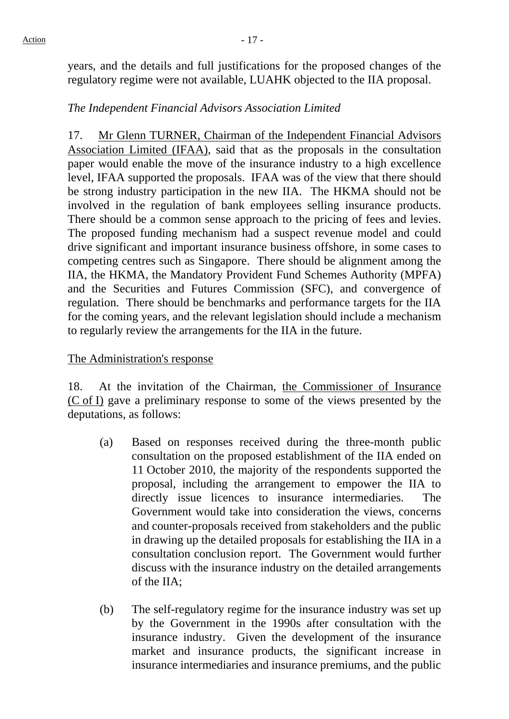years, and the details and full justifications for the proposed changes of the regulatory regime were not available, LUAHK objected to the IIA proposal.

## *The Independent Financial Advisors Association Limited*

17. Mr Glenn TURNER, Chairman of the Independent Financial Advisors Association Limited (IFAA), said that as the proposals in the consultation paper would enable the move of the insurance industry to a high excellence level, IFAA supported the proposals. IFAA was of the view that there should be strong industry participation in the new IIA. The HKMA should not be involved in the regulation of bank employees selling insurance products. There should be a common sense approach to the pricing of fees and levies. The proposed funding mechanism had a suspect revenue model and could drive significant and important insurance business offshore, in some cases to competing centres such as Singapore. There should be alignment among the IIA, the HKMA, the Mandatory Provident Fund Schemes Authority (MPFA) and the Securities and Futures Commission (SFC), and convergence of regulation. There should be benchmarks and performance targets for the IIA for the coming years, and the relevant legislation should include a mechanism to regularly review the arrangements for the IIA in the future.

## The Administration's response

18. At the invitation of the Chairman, the Commissioner of Insurance (C of I) gave a preliminary response to some of the views presented by the deputations, as follows:

- (a) Based on responses received during the three-month public consultation on the proposed establishment of the IIA ended on 11 October 2010, the majority of the respondents supported the proposal, including the arrangement to empower the IIA to directly issue licences to insurance intermediaries. The Government would take into consideration the views, concerns and counter-proposals received from stakeholders and the public in drawing up the detailed proposals for establishing the IIA in a consultation conclusion report. The Government would further discuss with the insurance industry on the detailed arrangements of the IIA;
- (b) The self-regulatory regime for the insurance industry was set up by the Government in the 1990s after consultation with the insurance industry. Given the development of the insurance market and insurance products, the significant increase in insurance intermediaries and insurance premiums, and the public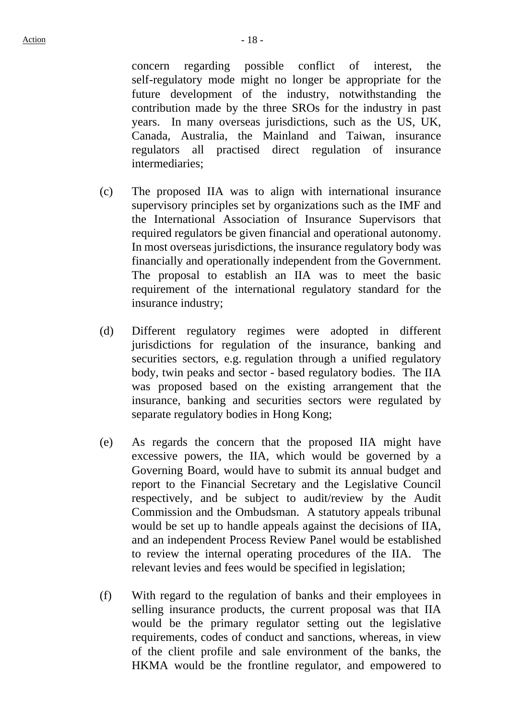concern regarding possible conflict of interest, the self-regulatory mode might no longer be appropriate for the future development of the industry, notwithstanding the contribution made by the three SROs for the industry in past years. In many overseas jurisdictions, such as the US, UK, Canada, Australia, the Mainland and Taiwan, insurance regulators all practised direct regulation of insurance intermediaries;

- (c) The proposed IIA was to align with international insurance supervisory principles set by organizations such as the IMF and the International Association of Insurance Supervisors that required regulators be given financial and operational autonomy. In most overseas jurisdictions, the insurance regulatory body was financially and operationally independent from the Government. The proposal to establish an IIA was to meet the basic requirement of the international regulatory standard for the insurance industry;
- (d) Different regulatory regimes were adopted in different jurisdictions for regulation of the insurance, banking and securities sectors, e.g. regulation through a unified regulatory body, twin peaks and sector - based regulatory bodies. The IIA was proposed based on the existing arrangement that the insurance, banking and securities sectors were regulated by separate regulatory bodies in Hong Kong;
- (e) As regards the concern that the proposed IIA might have excessive powers, the IIA, which would be governed by a Governing Board, would have to submit its annual budget and report to the Financial Secretary and the Legislative Council respectively, and be subject to audit/review by the Audit Commission and the Ombudsman. A statutory appeals tribunal would be set up to handle appeals against the decisions of IIA, and an independent Process Review Panel would be established to review the internal operating procedures of the IIA. The relevant levies and fees would be specified in legislation;
- (f) With regard to the regulation of banks and their employees in selling insurance products, the current proposal was that IIA would be the primary regulator setting out the legislative requirements, codes of conduct and sanctions, whereas, in view of the client profile and sale environment of the banks, the HKMA would be the frontline regulator, and empowered to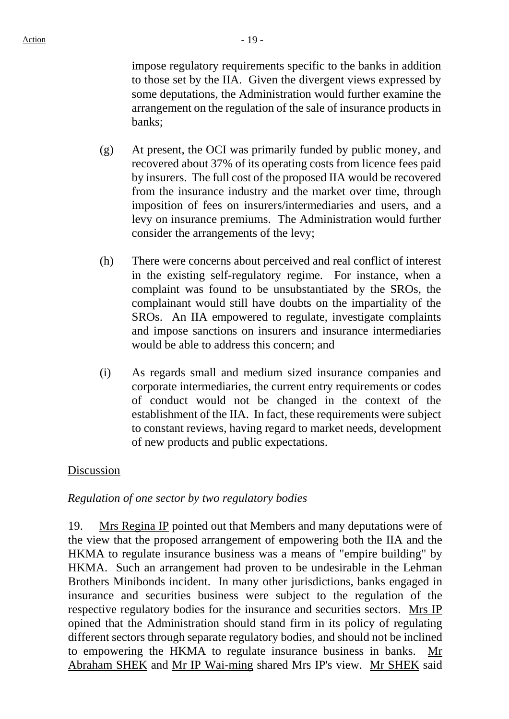impose regulatory requirements specific to the banks in addition to those set by the IIA. Given the divergent views expressed by some deputations, the Administration would further examine the arrangement on the regulation of the sale of insurance products in banks;

- (g) At present, the OCI was primarily funded by public money, and recovered about 37% of its operating costs from licence fees paid by insurers. The full cost of the proposed IIA would be recovered from the insurance industry and the market over time, through imposition of fees on insurers/intermediaries and users, and a levy on insurance premiums. The Administration would further consider the arrangements of the levy;
- (h) There were concerns about perceived and real conflict of interest in the existing self-regulatory regime. For instance, when a complaint was found to be unsubstantiated by the SROs, the complainant would still have doubts on the impartiality of the SROs. An IIA empowered to regulate, investigate complaints and impose sanctions on insurers and insurance intermediaries would be able to address this concern; and
- (i) As regards small and medium sized insurance companies and corporate intermediaries, the current entry requirements or codes of conduct would not be changed in the context of the establishment of the IIA. In fact, these requirements were subject to constant reviews, having regard to market needs, development of new products and public expectations.

#### Discussion

#### *Regulation of one sector by two regulatory bodies*

19. Mrs Regina IP pointed out that Members and many deputations were of the view that the proposed arrangement of empowering both the IIA and the HKMA to regulate insurance business was a means of "empire building" by HKMA. Such an arrangement had proven to be undesirable in the Lehman Brothers Minibonds incident. In many other jurisdictions, banks engaged in insurance and securities business were subject to the regulation of the respective regulatory bodies for the insurance and securities sectors. Mrs IP opined that the Administration should stand firm in its policy of regulating different sectors through separate regulatory bodies, and should not be inclined to empowering the HKMA to regulate insurance business in banks. Mr Abraham SHEK and Mr IP Wai-ming shared Mrs IP's view. Mr SHEK said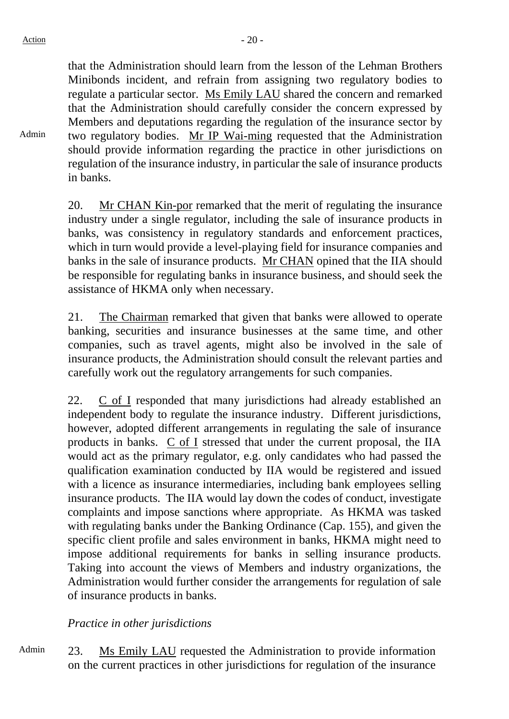Admin

that the Administration should learn from the lesson of the Lehman Brothers Minibonds incident, and refrain from assigning two regulatory bodies to regulate a particular sector. Ms Emily LAU shared the concern and remarked that the Administration should carefully consider the concern expressed by Members and deputations regarding the regulation of the insurance sector by two regulatory bodies. Mr IP Wai-ming requested that the Administration should provide information regarding the practice in other jurisdictions on regulation of the insurance industry, in particular the sale of insurance products in banks.

20. Mr CHAN Kin-por remarked that the merit of regulating the insurance industry under a single regulator, including the sale of insurance products in banks, was consistency in regulatory standards and enforcement practices, which in turn would provide a level-playing field for insurance companies and banks in the sale of insurance products. Mr CHAN opined that the IIA should be responsible for regulating banks in insurance business, and should seek the assistance of HKMA only when necessary.

21. The Chairman remarked that given that banks were allowed to operate banking, securities and insurance businesses at the same time, and other companies, such as travel agents, might also be involved in the sale of insurance products, the Administration should consult the relevant parties and carefully work out the regulatory arrangements for such companies.

22. C of I responded that many jurisdictions had already established an independent body to regulate the insurance industry. Different jurisdictions, however, adopted different arrangements in regulating the sale of insurance products in banks. C of I stressed that under the current proposal, the IIA would act as the primary regulator, e.g. only candidates who had passed the qualification examination conducted by IIA would be registered and issued with a licence as insurance intermediaries, including bank employees selling insurance products. The IIA would lay down the codes of conduct, investigate complaints and impose sanctions where appropriate. As HKMA was tasked with regulating banks under the Banking Ordinance (Cap. 155), and given the specific client profile and sales environment in banks, HKMA might need to impose additional requirements for banks in selling insurance products. Taking into account the views of Members and industry organizations, the Administration would further consider the arrangements for regulation of sale of insurance products in banks.

## *Practice in other jurisdictions*

Admin 23. Ms Emily LAU requested the Administration to provide information on the current practices in other jurisdictions for regulation of the insurance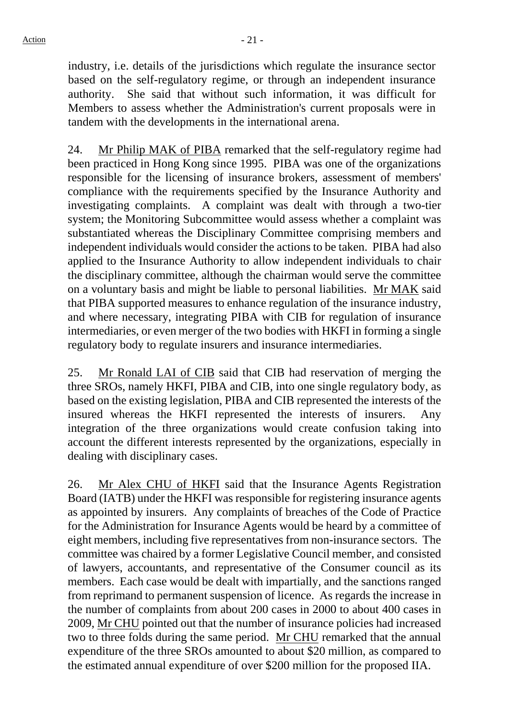industry, i.e. details of the jurisdictions which regulate the insurance sector based on the self-regulatory regime, or through an independent insurance authority. She said that without such information, it was difficult for Members to assess whether the Administration's current proposals were in tandem with the developments in the international arena.

24. Mr Philip MAK of PIBA remarked that the self-regulatory regime had been practiced in Hong Kong since 1995. PIBA was one of the organizations responsible for the licensing of insurance brokers, assessment of members' compliance with the requirements specified by the Insurance Authority and investigating complaints. A complaint was dealt with through a two-tier system; the Monitoring Subcommittee would assess whether a complaint was substantiated whereas the Disciplinary Committee comprising members and independent individuals would consider the actions to be taken. PIBA had also applied to the Insurance Authority to allow independent individuals to chair the disciplinary committee, although the chairman would serve the committee on a voluntary basis and might be liable to personal liabilities. Mr MAK said that PIBA supported measures to enhance regulation of the insurance industry, and where necessary, integrating PIBA with CIB for regulation of insurance intermediaries, or even merger of the two bodies with HKFI in forming a single regulatory body to regulate insurers and insurance intermediaries.

25. Mr Ronald LAI of CIB said that CIB had reservation of merging the three SROs, namely HKFI, PIBA and CIB, into one single regulatory body, as based on the existing legislation, PIBA and CIB represented the interests of the insured whereas the HKFI represented the interests of insurers. Any integration of the three organizations would create confusion taking into account the different interests represented by the organizations, especially in dealing with disciplinary cases.

26. Mr Alex CHU of HKFI said that the Insurance Agents Registration Board (IATB) under the HKFI was responsible for registering insurance agents as appointed by insurers. Any complaints of breaches of the Code of Practice for the Administration for Insurance Agents would be heard by a committee of eight members, including five representatives from non-insurance sectors. The committee was chaired by a former Legislative Council member, and consisted of lawyers, accountants, and representative of the Consumer council as its members. Each case would be dealt with impartially, and the sanctions ranged from reprimand to permanent suspension of licence. As regards the increase in the number of complaints from about 200 cases in 2000 to about 400 cases in 2009, Mr CHU pointed out that the number of insurance policies had increased two to three folds during the same period. Mr CHU remarked that the annual expenditure of the three SROs amounted to about \$20 million, as compared to the estimated annual expenditure of over \$200 million for the proposed IIA.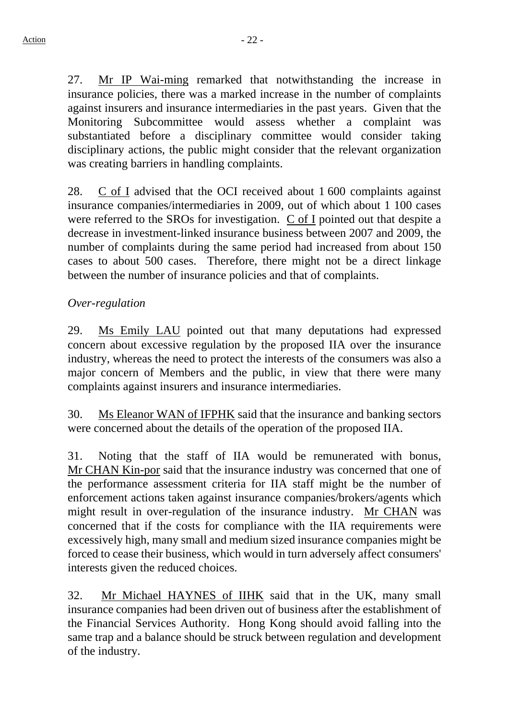27. Mr IP Wai-ming remarked that notwithstanding the increase in insurance policies, there was a marked increase in the number of complaints against insurers and insurance intermediaries in the past years. Given that the Monitoring Subcommittee would assess whether a complaint was substantiated before a disciplinary committee would consider taking disciplinary actions, the public might consider that the relevant organization was creating barriers in handling complaints.

28. C of I advised that the OCI received about 1 600 complaints against insurance companies/intermediaries in 2009, out of which about 1 100 cases were referred to the SROs for investigation. C of I pointed out that despite a decrease in investment-linked insurance business between 2007 and 2009, the number of complaints during the same period had increased from about 150 cases to about 500 cases. Therefore, there might not be a direct linkage between the number of insurance policies and that of complaints.

## *Over-regulation*

29. Ms Emily LAU pointed out that many deputations had expressed concern about excessive regulation by the proposed IIA over the insurance industry, whereas the need to protect the interests of the consumers was also a major concern of Members and the public, in view that there were many complaints against insurers and insurance intermediaries.

30. Ms Eleanor WAN of IFPHK said that the insurance and banking sectors were concerned about the details of the operation of the proposed IIA.

31. Noting that the staff of IIA would be remunerated with bonus, Mr CHAN Kin-por said that the insurance industry was concerned that one of the performance assessment criteria for IIA staff might be the number of enforcement actions taken against insurance companies/brokers/agents which might result in over-regulation of the insurance industry. Mr CHAN was concerned that if the costs for compliance with the IIA requirements were excessively high, many small and medium sized insurance companies might be forced to cease their business, which would in turn adversely affect consumers' interests given the reduced choices.

32. Mr Michael HAYNES of IIHK said that in the UK, many small insurance companies had been driven out of business after the establishment of the Financial Services Authority. Hong Kong should avoid falling into the same trap and a balance should be struck between regulation and development of the industry.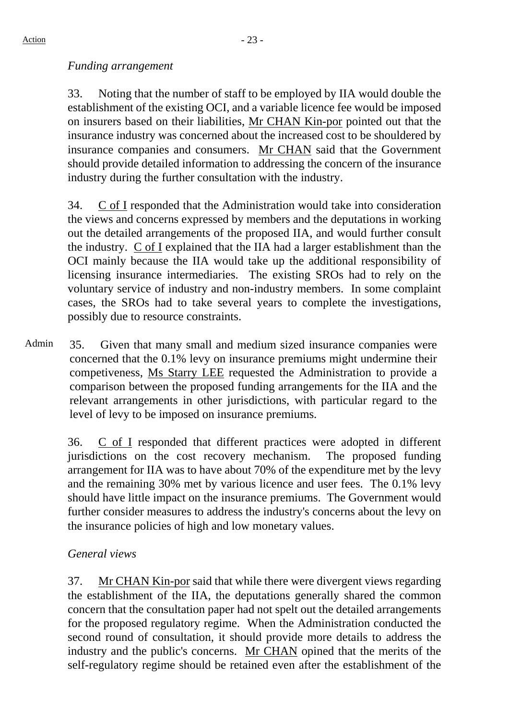## *Funding arrangement*

33. Noting that the number of staff to be employed by IIA would double the establishment of the existing OCI, and a variable licence fee would be imposed on insurers based on their liabilities, Mr CHAN Kin-por pointed out that the insurance industry was concerned about the increased cost to be shouldered by insurance companies and consumers. Mr CHAN said that the Government should provide detailed information to addressing the concern of the insurance industry during the further consultation with the industry.

34. C of I responded that the Administration would take into consideration the views and concerns expressed by members and the deputations in working out the detailed arrangements of the proposed IIA, and would further consult the industry. C of I explained that the IIA had a larger establishment than the OCI mainly because the IIA would take up the additional responsibility of licensing insurance intermediaries. The existing SROs had to rely on the voluntary service of industry and non-industry members. In some complaint cases, the SROs had to take several years to complete the investigations, possibly due to resource constraints.

Admin 35. Given that many small and medium sized insurance companies were concerned that the 0.1% levy on insurance premiums might undermine their competiveness, Ms Starry LEE requested the Administration to provide a comparison between the proposed funding arrangements for the IIA and the relevant arrangements in other jurisdictions, with particular regard to the level of levy to be imposed on insurance premiums.

> 36. C of I responded that different practices were adopted in different jurisdictions on the cost recovery mechanism. The proposed funding arrangement for IIA was to have about 70% of the expenditure met by the levy and the remaining 30% met by various licence and user fees. The 0.1% levy should have little impact on the insurance premiums. The Government would further consider measures to address the industry's concerns about the levy on the insurance policies of high and low monetary values.

## *General views*

37. Mr CHAN Kin-por said that while there were divergent views regarding the establishment of the IIA, the deputations generally shared the common concern that the consultation paper had not spelt out the detailed arrangements for the proposed regulatory regime. When the Administration conducted the second round of consultation, it should provide more details to address the industry and the public's concerns. Mr CHAN opined that the merits of the self-regulatory regime should be retained even after the establishment of the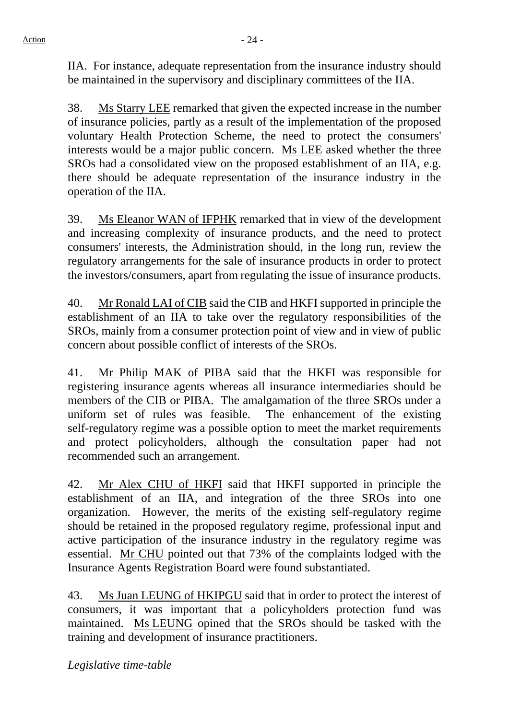IIA. For instance, adequate representation from the insurance industry should be maintained in the supervisory and disciplinary committees of the IIA.

38. Ms Starry LEE remarked that given the expected increase in the number of insurance policies, partly as a result of the implementation of the proposed voluntary Health Protection Scheme, the need to protect the consumers' interests would be a major public concern. Ms LEE asked whether the three SROs had a consolidated view on the proposed establishment of an IIA, e.g. there should be adequate representation of the insurance industry in the operation of the IIA.

39. Ms Eleanor WAN of IFPHK remarked that in view of the development and increasing complexity of insurance products, and the need to protect consumers' interests, the Administration should, in the long run, review the regulatory arrangements for the sale of insurance products in order to protect the investors/consumers, apart from regulating the issue of insurance products.

40. Mr Ronald LAI of CIB said the CIB and HKFI supported in principle the establishment of an IIA to take over the regulatory responsibilities of the SROs, mainly from a consumer protection point of view and in view of public concern about possible conflict of interests of the SROs.

41. Mr Philip MAK of PIBA said that the HKFI was responsible for registering insurance agents whereas all insurance intermediaries should be members of the CIB or PIBA. The amalgamation of the three SROs under a uniform set of rules was feasible. The enhancement of the existing self-regulatory regime was a possible option to meet the market requirements and protect policyholders, although the consultation paper had not recommended such an arrangement.

42. Mr Alex CHU of HKFI said that HKFI supported in principle the establishment of an IIA, and integration of the three SROs into one organization. However, the merits of the existing self-regulatory regime should be retained in the proposed regulatory regime, professional input and active participation of the insurance industry in the regulatory regime was essential. Mr CHU pointed out that 73% of the complaints lodged with the Insurance Agents Registration Board were found substantiated.

43. Ms Juan LEUNG of HKIPGU said that in order to protect the interest of consumers, it was important that a policyholders protection fund was maintained. Ms LEUNG opined that the SROs should be tasked with the training and development of insurance practitioners.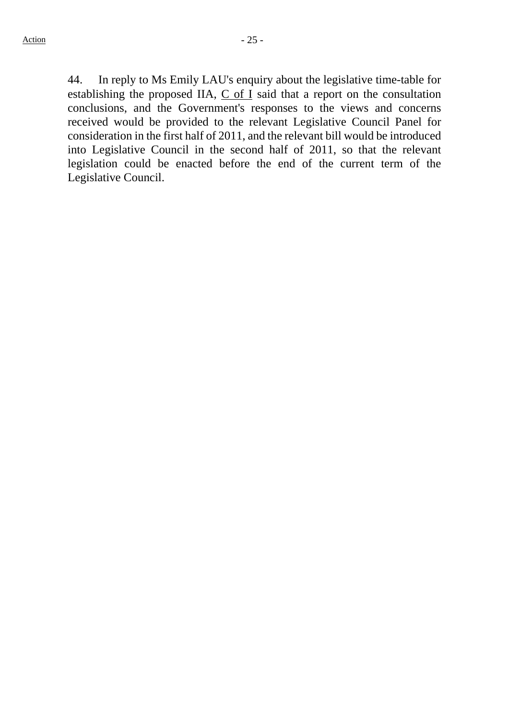44. In reply to Ms Emily LAU's enquiry about the legislative time-table for establishing the proposed IIA,  $C$  of I said that a report on the consultation conclusions, and the Government's responses to the views and concerns received would be provided to the relevant Legislative Council Panel for consideration in the first half of 2011, and the relevant bill would be introduced into Legislative Council in the second half of 2011, so that the relevant legislation could be enacted before the end of the current term of the Legislative Council.